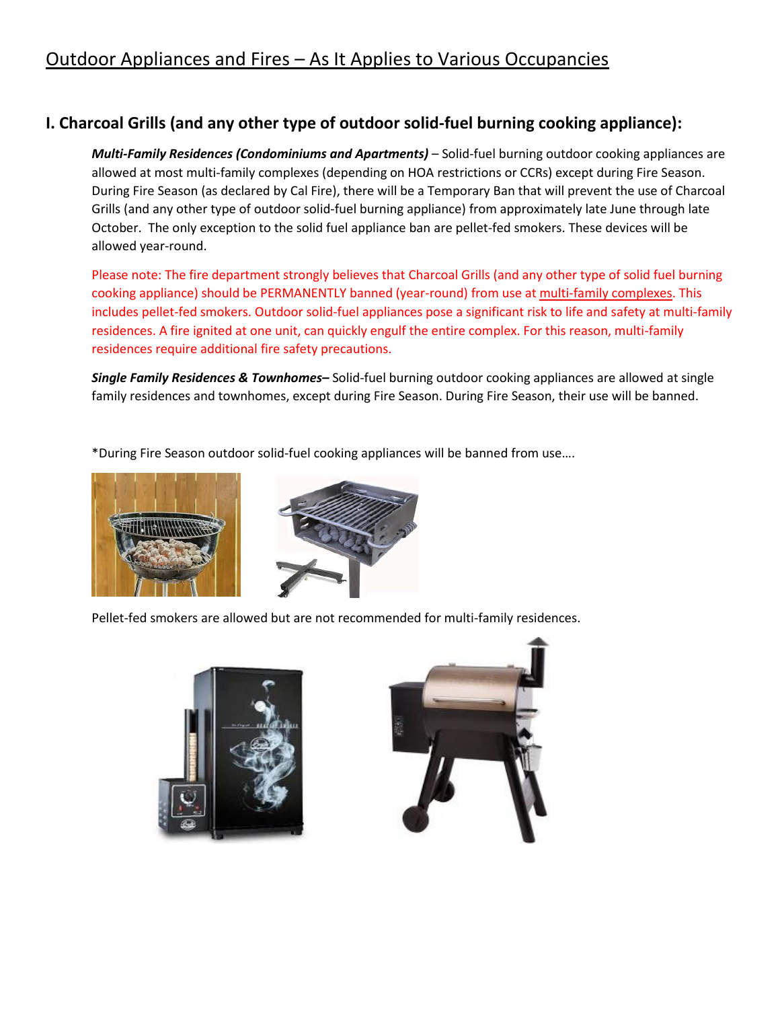# Outdoor Appliances and Fires – As It Applies to Various Occupancies

## **I. Charcoal Grills (and any other type of outdoor solid-fuel burning cooking appliance):**

*Multi-Family Residences (Condominiums and Apartments)* – Solid-fuel burning outdoor cooking appliances are allowed at most multi-family complexes (depending on HOA restrictions or CCRs) except during Fire Season. During Fire Season (as declared by Cal Fire), there will be a Temporary Ban that will prevent the use of Charcoal Grills (and any other type of outdoor solid-fuel burning appliance) from approximately late June through late October. The only exception to the solid fuel appliance ban are pellet-fed smokers. These devices will be allowed year-round.

Please note: The fire department strongly believes that Charcoal Grills (and any other type of solid fuel burning cooking appliance) should be PERMANENTLY banned (year-round) from use at multi-family complexes. This includes pellet-fed smokers. Outdoor solid-fuel appliances pose a significant risk to life and safety at multi-family residences. A fire ignited at one unit, can quickly engulf the entire complex. For this reason, multi-family residences require additional fire safety precautions.

*Single Family Residences & Townhomes–* Solid-fuel burning outdoor cooking appliances are allowed at single family residences and townhomes, except during Fire Season. During Fire Season, their use will be banned.

\*During Fire Season outdoor solid-fuel cooking appliances will be banned from use….



Pellet-fed smokers are allowed but are not recommended for multi-family residences.



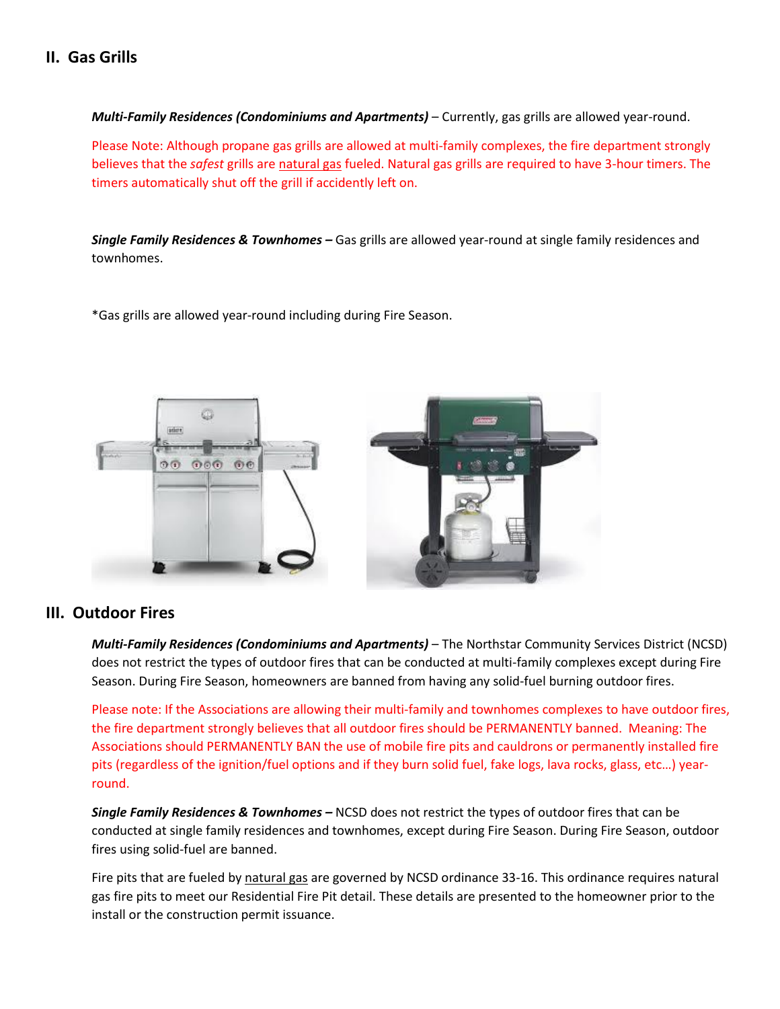### **II. Gas Grills**

*Multi-Family Residences (Condominiums and Apartments)* – Currently, gas grills are allowed year-round.

Please Note: Although propane gas grills are allowed at multi-family complexes, the fire department strongly believes that the *safest* grills are natural gas fueled. Natural gas grills are required to have 3-hour timers. The timers automatically shut off the grill if accidently left on.

*Single Family Residences & Townhomes –* Gas grills are allowed year-round at single family residences and townhomes.

\*Gas grills are allowed year-round including during Fire Season.



#### **III. Outdoor Fires**

*Multi-Family Residences (Condominiums and Apartments)* – The Northstar Community Services District (NCSD) does not restrict the types of outdoor fires that can be conducted at multi-family complexes except during Fire Season. During Fire Season, homeowners are banned from having any solid-fuel burning outdoor fires.

Please note: If the Associations are allowing their multi-family and townhomes complexes to have outdoor fires, the fire department strongly believes that all outdoor fires should be PERMANENTLY banned. Meaning: The Associations should PERMANENTLY BAN the use of mobile fire pits and cauldrons or permanently installed fire pits (regardless of the ignition/fuel options and if they burn solid fuel, fake logs, lava rocks, glass, etc…) yearround.

*Single Family Residences & Townhomes –* NCSD does not restrict the types of outdoor fires that can be conducted at single family residences and townhomes, except during Fire Season. During Fire Season, outdoor fires using solid-fuel are banned.

Fire pits that are fueled by natural gas are governed by NCSD ordinance 33-16. This ordinance requires natural gas fire pits to meet our Residential Fire Pit detail. These details are presented to the homeowner prior to the install or the construction permit issuance.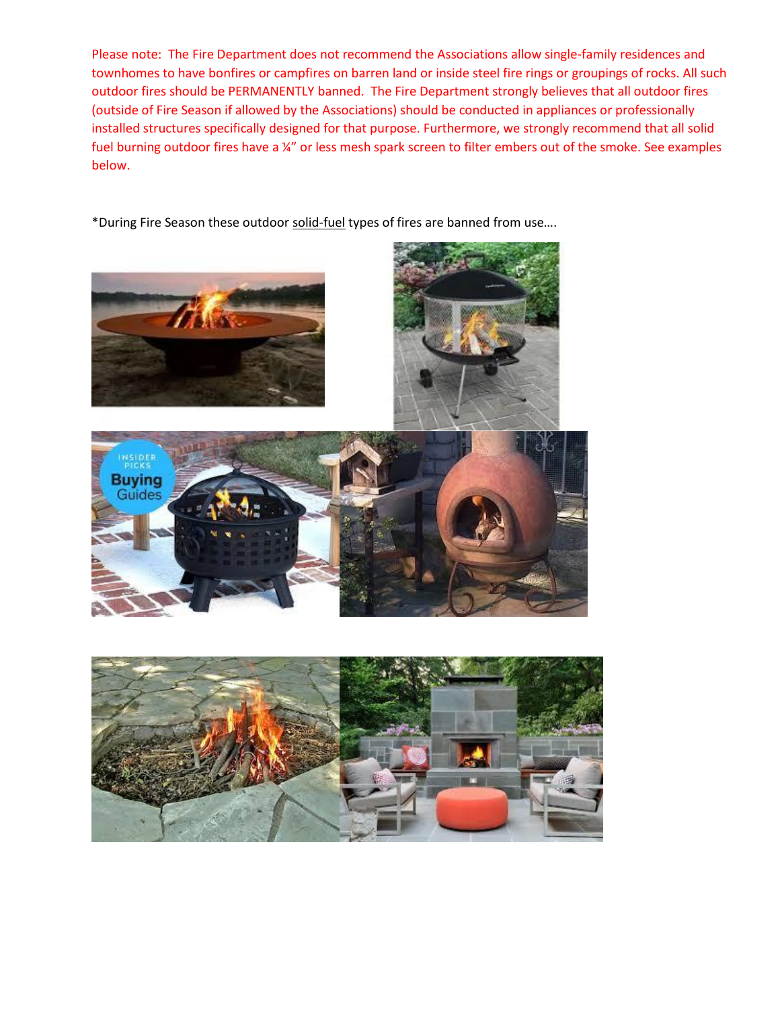Please note: The Fire Department does not recommend the Associations allow single-family residences and townhomes to have bonfires or campfires on barren land or inside steel fire rings or groupings of rocks. All such outdoor fires should be PERMANENTLY banned. The Fire Department strongly believes that all outdoor fires (outside of Fire Season if allowed by the Associations) should be conducted in appliances or professionally installed structures specifically designed for that purpose. Furthermore, we strongly recommend that all solid fuel burning outdoor fires have a ¼" or less mesh spark screen to filter embers out of the smoke. See examples below.

\*During Fire Season these outdoor solid-fuel types of fires are banned from use....









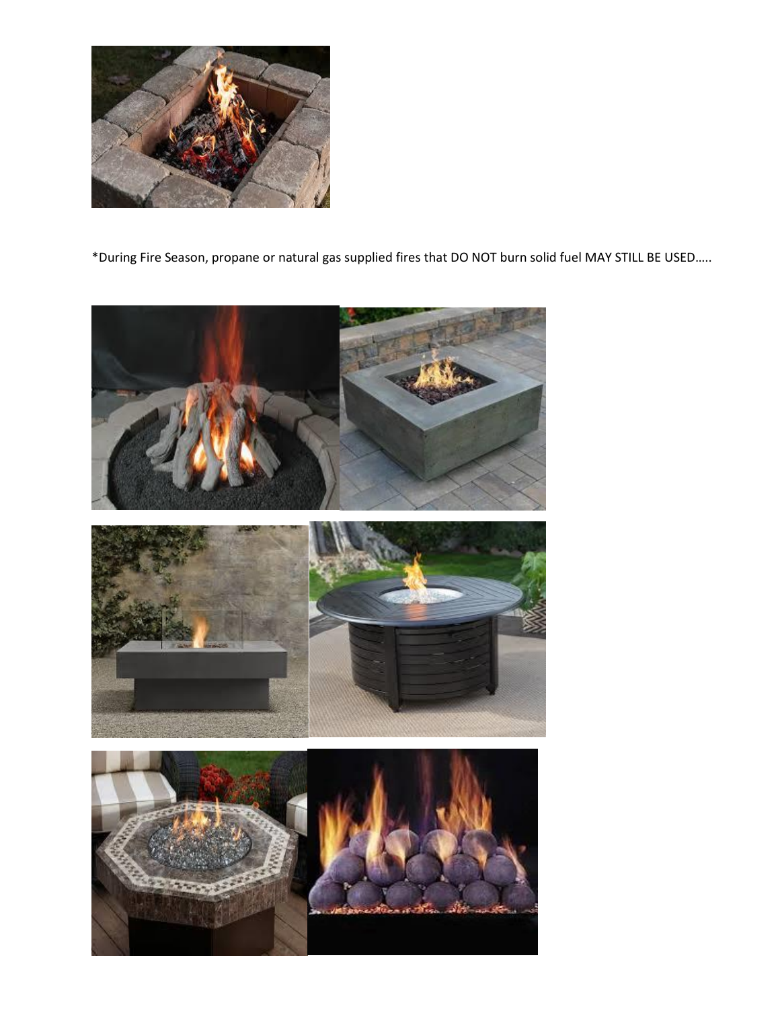

\*During Fire Season, propane or natural gas supplied fires that DO NOT burn solid fuel MAY STILL BE USED.....

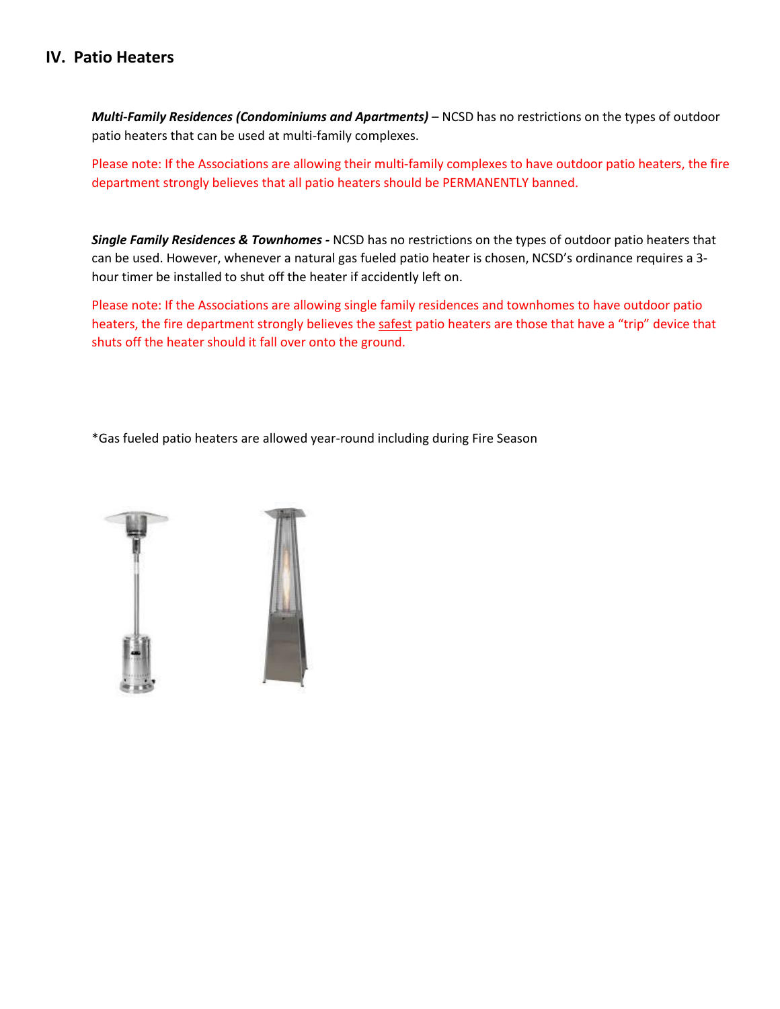#### **IV. Patio Heaters**

*Multi-Family Residences (Condominiums and Apartments)* – NCSD has no restrictions on the types of outdoor patio heaters that can be used at multi-family complexes.

Please note: If the Associations are allowing their multi-family complexes to have outdoor patio heaters, the fire department strongly believes that all patio heaters should be PERMANENTLY banned.

*Single Family Residences & Townhomes -* NCSD has no restrictions on the types of outdoor patio heaters that can be used. However, whenever a natural gas fueled patio heater is chosen, NCSD's ordinance requires a 3 hour timer be installed to shut off the heater if accidently left on.

Please note: If the Associations are allowing single family residences and townhomes to have outdoor patio heaters, the fire department strongly believes the safest patio heaters are those that have a "trip" device that shuts off the heater should it fall over onto the ground.

\*Gas fueled patio heaters are allowed year-round including during Fire Season